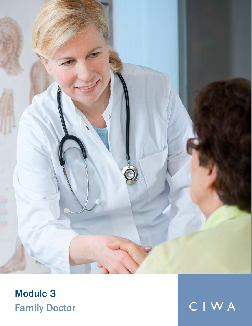

# Module 3 Family Doctor CIWA

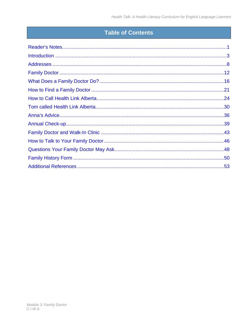# **Table of Contents**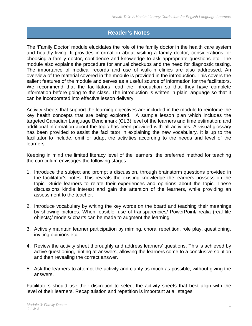### <span id="page-2-0"></span>**Reader's Notes**

The 'Family Doctor' module elucidates the role of the family doctor in the health care system and healthy living. It provides information about visiting a family doctor, considerations for choosing a family doctor, confidence and knowledge to ask appropriate questions etc. The module also explains the procedure for annual checkups and the need for diagnostic testing. The importance of medical records and use of walk-in clinics are also addressed. An overview of the material covered in the module is provided in the introduction. This covers the salient features of the module and serves as a useful source of information for the facilitators. We recommend that the facilitators read the introduction so that they have complete information before going to the class. The introduction is written in plain language so that it can be incorporated into effective lesson delivery.

Activity sheets that support the learning objectives are included in the module to reinforce the key health concepts that are being explored. A sample lesson plan which includes the targeted Canadian Language Benchmark (CLB) level of the learners and time estimation; and additional information about the topic has been provided with all activities. A visual glossary has been provided to assist the facilitator in explaining the new vocabulary. It is up to the facilitator to include, omit or adapt the activities according to the needs and level of the learners.

Keeping in mind the limited literacy level of the learners, the preferred method for teaching the curriculum envisages the following stages:

- 1. Introduce the subject and prompt a discussion, through brainstorm questions provided in the facilitator's notes. This reveals the existing knowledge the learners possess on the topic. Guide learners to relate their experiences and opinions about the topic. These discussions kindle interest and gain the attention of the learners, while providing an assessment to the teacher.
- 2. Introduce vocabulary by writing the key words on the board and teaching their meanings by showing pictures. When feasible, use of transparencies/ PowerPoint/ realia (real life objects)/ models/ charts can be made to augment the learning.
- 3. Actively maintain learner participation by miming, choral repetition, role play, questioning, inviting opinions etc.
- 4. Review the activity sheet thoroughly and address learners' questions. This is achieved by active questioning, hinting at answers, allowing the learners come to a conclusive solution and then revealing the correct answer.
- 5. Ask the learners to attempt the activity and clarify as much as possible, without giving the answers.

Facilitators should use their discretion to select the activity sheets that best align with the level of their learners. Recapitulation and repetition is important at all stages.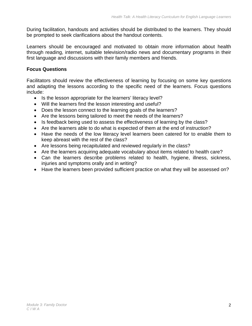During facilitation, handouts and activities should be distributed to the learners. They should be prompted to seek clarifications about the handout contents.

Learners should be encouraged and motivated to obtain more information about health through reading, internet, suitable television/radio news and documentary programs in their first language and discussions with their family members and friends.

#### **Focus Questions**

Facilitators should review the effectiveness of learning by focusing on some key questions and adapting the lessons according to the specific need of the learners. Focus questions include:

- Is the lesson appropriate for the learners' literacy level?
- Will the learners find the lesson interesting and useful?
- Does the lesson connect to the learning goals of the learners?
- Are the lessons being tailored to meet the needs of the learners?
- Is feedback being used to assess the effectiveness of learning by the class?
- Are the learners able to do what is expected of them at the end of instruction?
- Have the needs of the low literacy level learners been catered for to enable them to keep abreast with the rest of the class?
- Are lessons being recapitulated and reviewed regularly in the class?
- Are the learners acquiring adequate vocabulary about items related to health care?
- Can the learners describe problems related to health, hygiene, illness, sickness, injuries and symptoms orally and in writing?
- Have the learners been provided sufficient practice on what they will be assessed on?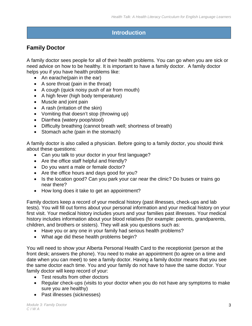### <span id="page-4-0"></span>**Introduction**

### **Family Doctor**

A family doctor sees people for all of their health problems. You can go when you are sick or need advice on how to be healthy. It is important to have a family doctor. A family doctor helps you if you have health problems like:

- An earache(pain in the ear)
- A sore throat (pain in the throat)
- A cough (quick noisy push of air from mouth)
- A high fever (high body temperature)
- Muscle and joint pain
- A rash (irritation of the skin)
- Vomiting that doesn't stop (throwing up)
- Diarrhea (watery poop/stool)
- Difficulty breathing (cannot breath well; shortness of breath)
- Stomach ache (pain in the stomach)

A family doctor is also called a physician. Before going to a family doctor, you should think about these questions:

- Can you talk to your doctor in your first language?
- Are the office staff helpful and friendly?
- Do you want a male or female doctor?
- Are the office hours and days good for you?
- Is the location good? Can you park your car near the clinic? Do buses or trains go near there?
- How long does it take to get an appointment?

Family doctors keep a record of your medical history (past illnesses, check-ups and lab tests). You will fill out forms about your personal information and your medical history on your first visit. Your medical history includes yours and your families past illnesses. Your medical history includes information about your blood relatives (for example: parents, grandparents, children, and brothers or sisters). They will ask you questions such as:

- Have you or any one in your family had serious health problems?
- What age did these health problems begin?

You will need to show your Alberta Personal Health Card to the receptionist (person at the front desk; answers the phone). You need to make an appointment (to agree on a time and date when you can meet) to see a family doctor. Having a family doctor means that you see the same doctor each time. You and your family do not have to have the same doctor. Your family doctor will keep record of your:

- Test results from other doctors
- Regular check-ups (visits to your doctor when you do not have any symptoms to make sure you are healthy)
- Past illnesses (sicknesses)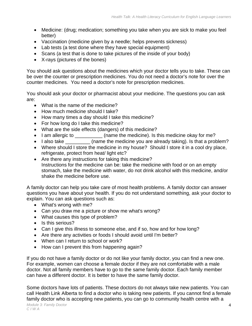- Medicine: (drug; medication; something you take when you are sick to make you feel better)
- Vaccination (medicine given by a needle; helps prevents sickness)
- Lab tests (a test done where they have special equipment)
- Scans (a test that is done to take pictures of the inside of your body)
- X-rays (pictures of the bones)

You should ask questions about the medicines which your doctor tells you to take. These can be over the counter or prescription medicines. You do not need a doctor's note for over the counter medicines. You need a doctor's note for prescription medicines.

You should ask your doctor or pharmacist about your medicine. The questions you can ask are:

- What is the name of the medicine?
- How much medicine should I take?
- How many times a day should I take this medicine?
- For how long do I take this medicine?
- What are the side effects (dangers) of this medicine?
- I am allergic to \_\_\_\_\_\_\_\_\_\_\_\_ (name the medicine). Is this medicine okay for me?
- I also take \_\_\_\_\_\_\_\_\_\_ (name the medicine you are already taking). Is that a problem?
- Where should I store the medicine in my house? Should I store it in a cool dry place, refrigerate, protect from heat/ light etc?
- Are there any instructions for taking this medicine? Instructions for the medicine can be: take the medicine with food or on an empty stomach, take the medicine with water, do not drink alcohol with this medicine, and/or shake the medicine before use.

A family doctor can help you take care of most health problems. A family doctor can answer questions you have about your health. If you do not understand something, ask your doctor to explain. You can ask questions such as:

- What's wrong with me?
- Can you draw me a picture or show me what's wrong?
- What causes this type of problem?
- Is this serious?
- Can I give this illness to someone else, and if so, how and for how long?
- Are there any activities or foods I should avoid until I'm better?
- When can I return to school or work?
- How can I prevent this from happening again?

If you do not have a family doctor or do not like your family doctor, you can find a new one. For example, women can choose a female doctor if they are not comfortable with a male doctor. Not all family members have to go to the same family doctor. Each family member can have a different doctor. It is better to have the same family doctor.

Some doctors have lots of patients. These doctors do not always take new patients. You can call Health Link Alberta to find a doctor who is taking new patients. If you cannot find a female family doctor who is accepting new patients, you can go to community health centre with a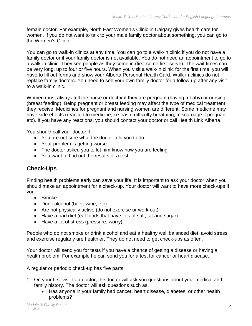female doctor. For example, North East Women's Clinic in Calgary gives health care for women. If you do not want to talk to your male family doctor about something, you can go to the Women's Clinic.

You can go to walk-in clinics at any time. You can go to a walk-in clinic if you do not have a family doctor or if your family doctor is not available. You do not need an appointment to go to a walk-in clinic. They see people as they come in (first-come first-serve). The wait times can be very long, up to four or five hours. When you visit a walk-in clinic for the first time, you will have to fill out forms and show your Alberta Personal Health Card. Walk-in clinics do not replace family doctors. You need to see your own family doctor for a follow-up after any visit to a walk-in clinic.

Women must always tell the nurse or doctor if they are pregnant (having a baby) or nursing (breast feeding). Being pregnant or breast feeding may affect the type of medical treatment they receive. Medicines for pregnant and nursing women are different. Some medicine may have side effects (reaction to medicine; i.e. rash; difficulty breathing; miscarriage if pregnant etc). If you have any reactions, you should contact your doctor or call Health Link Alberta.

You should call your doctor if:

- You are not sure what the doctor told you to do
- Your problem is getting worse
- The doctor asked you to let him know how you are feeling
- You want to find out the results of a test

### **Check-Ups**

Finding health problems early can save your life. It is important to ask your doctor when you should make an appointment for a check-up. Your doctor will want to have more check-ups If you:

- Smoke
- Drink alcohol (beer, wine, etc)
- Are not physically active (do not exercise or work out)
- Have a bad diet (eat foods that have lots of salt, fat and sugar)
- Have a lot of stress (pressure, worry)

People who do not smoke or drink alcohol and eat a healthy well balanced diet, avoid stress and exercise regularly are healthier. They do not need to get check-ups as often.

Your doctor will send you for tests if you have a chance of getting a disease or having a health problem. For example he can send you for a test for cancer or heart disease.

A regular or periodic check-up has five parts:

- 1. On your first visit to a doctor, the doctor will ask you questions about your medical and family history. The doctor will ask questions such as:
	- Has anyone in your family had cancer, heart disease, diabetes, or other health problems?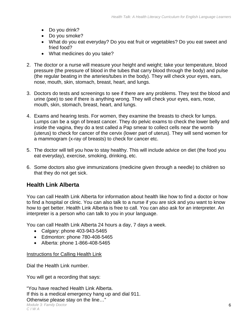- Do you drink?
- Do you smoke?
- What do you eat everyday? Do you eat fruit or vegetables? Do you eat sweet and fried food?
- What medicines do you take?
- 2. The doctor or a nurse will measure your height and weight; take your temperature, blood pressure (the pressure of blood in the tubes that carry blood through the body) and pulse (the regular beating in the arteries/tubes in the body). They will check your eyes, ears, nose, mouth, skin, stomach, breast, heart, and lungs.
- 3. Doctors do tests and screenings to see if there are any problems. They test the blood and urine (pee) to see if there is anything wrong. They will check your eyes, ears, nose, mouth, skin, stomach, breast, heart, and lungs.
- 4. Exams and hearing tests. For women, they examine the breasts to check for lumps. Lumps can be a sign of breast cancer. They do pelvic exams to check the lower belly and inside the vagina, they do a test called a Pap smear to collect cells near the womb (uterus) to check for cancer of the cervix (lower part of uterus). They will send women for a mammogram (x-ray of breasts) to check for cancer etc.
- 5. The doctor will tell you how to stay healthy. This will include advice on diet (the food you eat everyday), exercise, smoking, drinking, etc.
- 6. Some doctors also give immunizations (medicine given through a needle) to children so that they do not get sick.

### **Health Link Alberta**

You can call Health Link Alberta for information about health like how to find a doctor or how to find a hospital or clinic. You can also talk to a nurse if you are sick and you want to know how to get better. Health Link Alberta is free to call. You can also ask for an interpreter. An interpreter is a person who can talk to you in your language.

You can call Health Link Alberta 24 hours a day, 7 days a week.

- Calgary: phone 403-943-5465
- Edmonton: phone 780-408-5465
- Alberta: phone 1-866-408-5465

#### Instructions for Calling Health Link

Dial the Health Link number.

You will get a recording that says:

*Module 3: Family Doctor*  "You have reached Health Link Alberta. If this is a medical emergency hang up and dial 911. Otherwise please stay on the line…"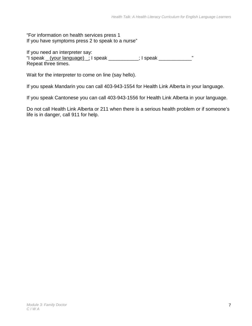"For information on health services press 1 If you have symptoms press 2 to speak to a nurse"

If you need an interpreter say: "I speak \_ (your language) \_; I speak \_\_\_\_\_\_\_\_\_\_\_; I speak \_\_\_\_\_\_\_\_\_\_\_\_" Repeat three times.

Wait for the interpreter to come on line (say hello).

If you speak Mandarin you can call 403-943-1554 for Health Link Alberta in your language.

If you speak Cantonese you can call 403-943-1556 for Health Link Alberta in your language.

Do not call Health Link Alberta or 211 when there is a serious health problem or if someone's life is in danger, call 911 for help.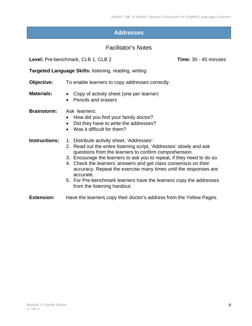### <span id="page-9-0"></span>**Addresses**

### Facilitator's Notes

**Level:** Pre-benchmark, CLB 1, CLB 2 **Time:** 30 - 45 minutes

**Targeted Language Skills:** listening, reading, writing

**Objective:** To enable learners to copy addresses correctly.

- **Materials:**  Copy of activity sheet (one per learner)
	- Pencils and erasers

**Brainstorm:** Ask learners:

- How did you find your family doctor?
- Did they have to write the addresses?
- Was it difficult for them?

**Instructions:** 1. Distribute activity sheet, 'Addresses'.

- 2. Read out the entire listening script, 'Addresses' slowly and ask questions from the learners to confirm comprehension.
- 3. Encourage the learners to ask you to repeat, if they need to do so.
- 4. Check the learners' answers and get class consensus on their accuracy. Repeat the exercise many times until the responses are accurate.
- 5. For Pre-benchmark learners have the learners copy the addresses from the listening handout.

**Extension:** Have the learners copy their doctor's address from the Yellow Pages.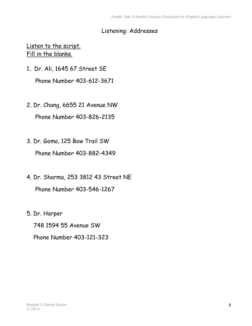### Listening: Addresses

### Listen to the script. Fill in the blanks.

1**.** Dr. Ali, 1645 67 Street SE

Phone Number 403-612-3671

2. Dr. Chang, 6655 21 Avenue NW

Phone Number 403-826-2135

- 3. Dr. Goma, 125 Bow Trail SW Phone Number 403-882-4349
- 4. Dr. Sharma, 253 3812 43 Street NE Phone Number 403-546-1267
- 5. Dr. Harper

748 1594 55 Avenue SW

Phone Number 403-121-323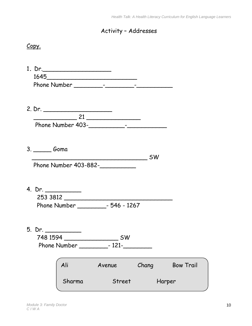# Activity – Addresses

| Copy.            |                    |                                                                                        |       |                            |
|------------------|--------------------|----------------------------------------------------------------------------------------|-------|----------------------------|
|                  | 1. Dr.             |                                                                                        |       |                            |
|                  |                    | $\overline{\phantom{z}}$ 21                                                            |       |                            |
| 3. ________ Goma |                    | $\overline{\phantom{iiiiiiiiiiiiiiiiiiiiiiiiiiiiiiiiiiiiii}}$<br>Phone Number 403-882- |       |                            |
|                  | 4. Dr.<br>253 3812 | Phone Number _____________ - 546 - 1267                                                |       |                            |
| 5. Dr.           |                    | S<br>Phone Number - 121-                                                               |       |                            |
|                  | Ali<br>Sharma      | Avenue<br>Street                                                                       | Chang | <b>Bow Trail</b><br>Harper |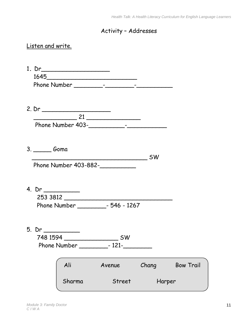# Activity – Addresses

| <u>Listen and write.</u>                                                                  |        |                  |
|-------------------------------------------------------------------------------------------|--------|------------------|
|                                                                                           |        |                  |
| 2. Dr ________________________<br>$\overline{\phantom{z}}$ 21 $\overline{\phantom{z}}$ 21 |        |                  |
|                                                                                           |        |                  |
| 3. _______ Goma<br>Phone Number 403-882-                                                  | $S$ W  |                  |
| 4. Dr ____________<br>Phone Number _____________ 546 - 1267                               |        |                  |
| 5. Dr<br>748 1594 ___________________________ SW                                          |        |                  |
| Ali<br>Avenue                                                                             | Chang  | <b>Bow Trail</b> |
| Sharma<br>Street                                                                          | Harper |                  |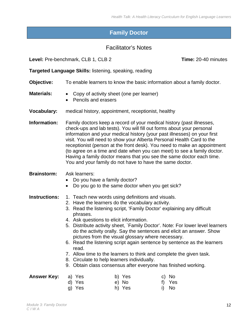### <span id="page-13-0"></span>**Family Doctor**

#### Facilitator's Notes

**Level:** Pre-benchmark, CLB 1, CLB 2 **Time:** 20-40 minutes

**Targeted Language Skills:** listening, speaking, reading

- **Objective:** To enable learners to know the basic information about a family doctor.
- **Materials:**  Copy of activity sheet (one per learner)
	- Pencils and erasers
- **Vocabulary:** medical history, appointment, receptionist, healthy

**Information:** Family doctors keep a record of your medical history (past illnesses, check-ups and lab tests). You will fill out forms about your personal information and your medical history (your past illnesses) on your first visit. You will need to show your Alberta Personal Health Card to the receptionist (person at the front desk). You need to make an appointment (to agree on a time and date when you can meet) to see a family doctor. Having a family doctor means that you see the same doctor each time. You and your family do not have to have the same doctor.

- **Brainstorm:** Ask learners:
	- Do you have a family doctor?
	- Do you go to the same doctor when you get sick?

#### **Instructions:** 1. Teach new words using definitions and visuals.

- 2. Have the learners do the vocabulary activity.
- 3. Read the listening script, 'Family Doctor' explaining any difficult phrases.
- 4. Ask questions to elicit information.
- 5. Distribute activity sheet, `Family Doctor'. Note: For lower level learners do the activity orally. Say the sentences and elicit an answer. Show pictures from the visual glossary where necessary.
- 6. Read the listening script again sentence by sentence as the learners read.
- 7. Allow time to the learners to think and complete the given task.
- 8. Circulate to help learners individually.
- 9. Obtain class consensus after everyone has finished working.

| <b>Answer Key:</b> | a) Yes | b) Yes | c) No  |
|--------------------|--------|--------|--------|
|                    | d) Yes | e) No  | f) Yes |
|                    | g) Yes | h) Yes | i) No  |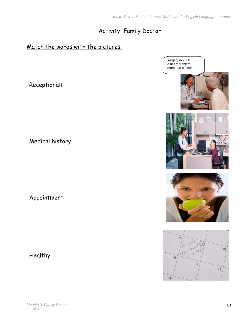# Activity: Family Doctor

# Match the words with the pictures.

Receptionist

Medical history

Appointment

Healthy

surgery in 2000 a heart problem mom had cancer







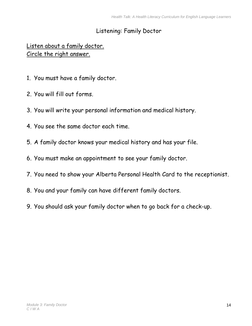# Listening: Family Doctor

# Listen about a family doctor. Circle the right answer.

- 1. You must have a family doctor.
- 2. You will fill out forms.
- 3. You will write your personal information and medical history.
- 4. You see the same doctor each time.
- 5. A family doctor knows your medical history and has your file.
- 6. You must make an appointment to see your family doctor.
- 7. You need to show your Alberta Personal Health Card to the receptionist.
- 8. You and your family can have different family doctors.
- 9. You should ask your family doctor when to go back for a check-up.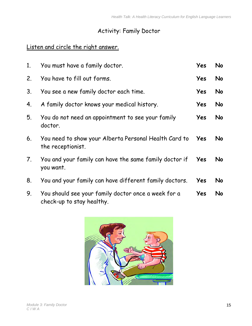# Activity: Family Doctor

# Listen and circle the right answer.

| 1. | You must have a family doctor.                                                   | Yes | <b>No</b> |
|----|----------------------------------------------------------------------------------|-----|-----------|
| 2. | You have to fill out forms.                                                      | Yes | <b>No</b> |
| 3. | You see a new family doctor each time.                                           | Yes | <b>No</b> |
| 4. | A family doctor knows your medical history.                                      | Yes | <b>No</b> |
| 5. | You do not need an appointment to see your family<br>doctor.                     | Yes | <b>No</b> |
| 6. | You need to show your Alberta Personal Health Card to<br>the receptionist.       | Yes | <b>No</b> |
| 7. | You and your family can have the same family doctor if<br>you want.              | Yes | <b>No</b> |
| 8. | You and your family can have different family doctors.                           | Yes | <b>No</b> |
| 9. | You should see your family doctor once a week for a<br>check-up to stay healthy. | Yes | No        |

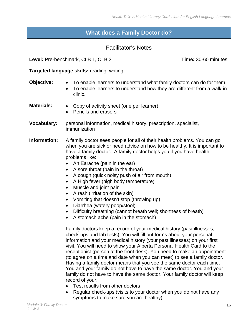### <span id="page-17-0"></span>**What does a Family Doctor do?**

#### Facilitator's Notes

**Level:** Pre-benchmark, CLB 1, CLB 2 **Time:** 30-60 minutes

#### **Targeted language skills:** reading, writing

| Objective:         | To enable learners to understand what family doctors can do for them.<br>$\bullet$<br>To enable learners to understand how they are different from a walk-in<br>$\bullet$<br>clinic.                                                                                                                                                                                                                                                                                                                                                                                                                                                                                                                                                                                                                                                                                                                       |
|--------------------|------------------------------------------------------------------------------------------------------------------------------------------------------------------------------------------------------------------------------------------------------------------------------------------------------------------------------------------------------------------------------------------------------------------------------------------------------------------------------------------------------------------------------------------------------------------------------------------------------------------------------------------------------------------------------------------------------------------------------------------------------------------------------------------------------------------------------------------------------------------------------------------------------------|
| <b>Materials:</b>  | Copy of activity sheet (one per learner)<br>$\bullet$<br><b>Pencils and erasers</b><br>$\bullet$                                                                                                                                                                                                                                                                                                                                                                                                                                                                                                                                                                                                                                                                                                                                                                                                           |
| <b>Vocabulary:</b> | personal information, medical history, prescription, specialist,<br>immunization                                                                                                                                                                                                                                                                                                                                                                                                                                                                                                                                                                                                                                                                                                                                                                                                                           |
| Information:       | A family doctor sees people for all of their health problems. You can go<br>when you are sick or need advice on how to be healthy. It is important to<br>have a family doctor. A family doctor helps you if you have health<br>problems like:<br>An Earache (pain in the ear)<br>A sore throat (pain in the throat)<br>$\bullet$<br>A cough (quick noisy push of air from mouth)<br>$\bullet$<br>A High fever (high body temperature)<br>Muscle and joint pain<br>A rash (irritation of the skin)<br>$\bullet$<br>Vomiting that doesn't stop (throwing up)<br>$\bullet$<br>Diarrhea (watery poop/stool)<br>$\bullet$<br>Difficulty breathing (cannot breath well; shortness of breath)<br>$\bullet$<br>A stomach ache (pain in the stomach)<br>$\bullet$<br>Family doctors keep a record of your medical history (past illnesses,<br>check-ups and lab tests). You will fill out forms about your personal |
|                    | information and your medical history (your past illnesses) on your first<br>visit. You will need to show your Alberta Personal Health Card to the<br>receptionist (person at the front desk). You need to make an appointment<br>(to agree on a time and date when you can meet) to see a family doctor.<br>Having a family doctor means that you see the same doctor each time.<br>You and your family do not have to have the same doctor. You and your<br>family do not have to have the same doctor. Your family doctor will keep                                                                                                                                                                                                                                                                                                                                                                      |

- record of your:
- Test results from other doctors
- Regular check-ups (visits to your doctor when you do not have any symptoms to make sure you are healthy)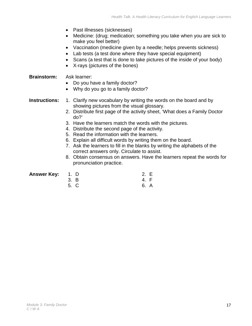- Past illnesses (sicknesses)
- Medicine: (drug; medication; something you take when you are sick to make you feel better)
- Vaccination (medicine given by a needle; helps prevents sickness)
- Lab tests (a test done where they have special equipment)
- Scans (a test that is done to take pictures of the inside of your body)
- X-rays (pictures of the bones)

#### **Brainstorm:** Ask learner:

- Do you have a family doctor?
- Why do you go to a family doctor?

#### **Instructions:** 1. Clarify new vocabulary by writing the words on the board and by showing pictures from the visual glossary.

- 2. Distribute first page of the activity sheet, 'What does a Family Doctor do?'
- 3. Have the learners match the words with the pictures.
- 4. Distribute the second page of the activity.
- 5. Read the information with the learners.
- 6. Explain all difficult words by writing them on the board.
- 7. Ask the learners to fill in the blanks by writing the alphabets of the correct answers only. Circulate to assist.
- 8. Obtain consensus on answers. Have the learners repeat the words for pronunciation practice.

| <b>Answer Key: 1. D</b> |      | 2. E |
|-------------------------|------|------|
|                         | 3. B | 4. F |
|                         | 5. C | 6. A |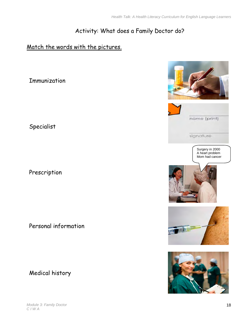# Activity: What does a Family Doctor do?

### Match the words with the pictures.

**Immunization** 

Specialist

Prescription

Personal information

Medical history

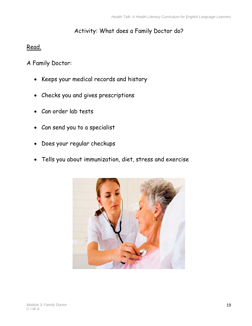# Activity: What does a Family Doctor do?

### Read.

A Family Doctor:

- Keeps your medical records and history
- Checks you and gives prescriptions
- Can order lab tests
- Can send you to a specialist
- Does your regular checkups
- Tells you about immunization, diet, stress and exercise

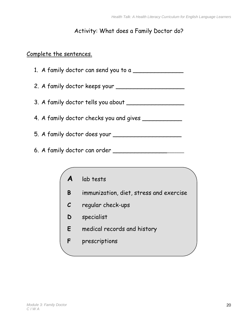## Activity: What does a Family Doctor do?

### Complete the sentences.

1. A family doctor can send you to a

2. A family doctor keeps your \_\_\_\_\_\_\_\_\_\_\_\_\_\_\_\_\_\_\_

3. A family doctor tells you about \_\_\_\_\_\_\_\_\_\_\_\_\_\_\_\_

4. A family doctor checks you and gives \_\_\_\_\_\_\_\_\_\_\_\_\_\_

5. A family doctor does your \_\_\_\_\_\_\_\_\_\_\_\_\_\_\_\_\_\_\_

6. A family doctor can order \_\_\_\_\_\_\_\_\_\_\_\_\_\_\_\_\_\_\_\_\_\_

# **A** lab tests

- **B** immunization, diet, stress and exercise
- **C** regular check-ups
- **D** specialist
- **E** medical records and history
- **F** prescriptions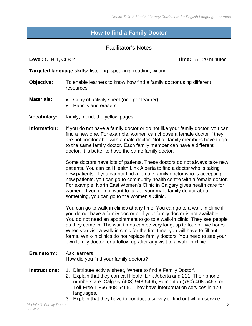### <span id="page-22-0"></span>**How to find a Family Doctor**

#### Facilitator's Notes

**Level:** CLB 1, CLB 2 **Time:** 15 - 20 minutes

**Targeted language skills:** listening, speaking, reading, writing

- **Objective:** To enable learners to know how find a family doctor using different resources.
- **Materials:** Copy of activity sheet (one per learner)
	- Pencils and erasers
- **Vocabulary:** family, friend, the yellow pages
- **Information:** If you do not have a family doctor or do not like your family doctor, you can find a new one. For example, women can choose a female doctor if they are not comfortable with a male doctor. Not all family members have to go to the same family doctor. Each family member can have a different doctor. It is better to have the same family doctor.

Some doctors have lots of patients. These doctors do not always take new patients. You can call Health Link Alberta to find a doctor who is taking new patients. If you cannot find a female family doctor who is accepting new patients, you can go to community health centre with a female doctor. For example, North East Women's Clinic in Calgary gives health care for women. If you do not want to talk to your male family doctor about something, you can go to the Women's Clinic.

You can go to walk-in clinics at any time. You can go to a walk-in clinic if you do not have a family doctor or if your family doctor is not available. You do not need an appointment to go to a walk-in clinic. They see people as they come in. The wait times can be very long, up to four or five hours. When you visit a walk-in clinic for the first time, you will have to fill out forms. Walk-in clinics do not replace family doctors. You need to see your own family doctor for a follow-up after any visit to a walk-in clinic.

- **Brainstorm:** Ask learners: How did you find your family doctors?
- **Instructions:** 1. Distribute activity sheet, 'Where to find a Family Doctor'.
	- 2. Explain that they can call Health Link Alberta and 211. Their phone numbers are: Calgary (403) 943-5465, Edmonton (780) 408-5465, or Toll-Free 1-866-408-5465. They have interpretation services in 170 languages.
	- 3. Explain that they have to conduct a survey to find out which service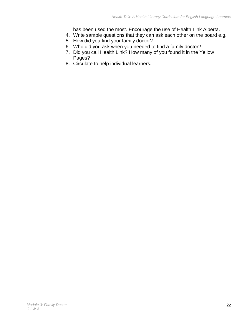has been used the most. Encourage the use of Health Link Alberta.

- 4. Write sample questions that they can ask each other on the board e.g.
- 5. How did you find your family doctor?
- 6. Who did you ask when you needed to find a family doctor?
- 7. Did you call Health Link? How many of you found it in the Yellow Pages?
- 8. Circulate to help individual learners.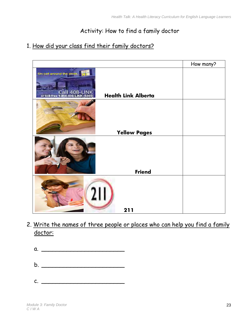# Activity: How to find a family doctor

# 1. How did your class find their family doctors?

|                                    | How many? |
|------------------------------------|-----------|
| On call around the clock.          |           |
|                                    |           |
| ⊿กฉ_<br><b>Health Link Alberta</b> |           |
|                                    |           |
| <b>Yellow Pages</b>                |           |
|                                    |           |
| <b>Friend</b>                      |           |
|                                    |           |
| 211<br>211                         |           |

2. Write the names of three people or places who can help you find a family doctor:

|                | a. |  |  |
|----------------|----|--|--|
|                | b. |  |  |
| $\mathsf{C}$ . |    |  |  |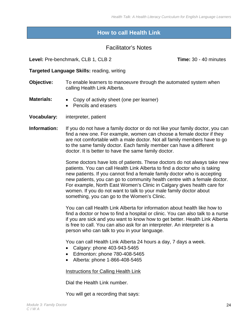### <span id="page-25-0"></span>**How to call Health Link**

### Facilitator's Notes

#### **Level:** Pre-benchmark, CLB 1, CLB 2 **Time:** 30 - 40 minutes

#### **Targeted Language Skills:** reading, writing

- **Objective:** To enable learners to manoeuvre through the automated system when calling Health Link Alberta.
- **Materials:** Copy of activity sheet (one per learner)
	- Pencils and erasers
- **Vocabulary:** interpreter, patient
- **Information:** If you do not have a family doctor or do not like your family doctor, you can find a new one. For example, women can choose a female doctor if they are not comfortable with a male doctor. Not all family members have to go to the same family doctor. Each family member can have a different doctor. It is better to have the same family doctor.

Some doctors have lots of patients. These doctors do not always take new patients. You can call Health Link Alberta to find a doctor who is taking new patients. If you cannot find a female family doctor who is accepting new patients, you can go to community health centre with a female doctor. For example, North East Women's Clinic in Calgary gives health care for women. If you do not want to talk to your male family doctor about something, you can go to the Women's Clinic.

You can call Health Link Alberta for information about health like how to find a doctor or how to find a hospital or clinic. You can also talk to a nurse if you are sick and you want to know how to get better. Health Link Alberta is free to call. You can also ask for an interpreter. An interpreter is a person who can talk to you in your language.

You can call Health Link Alberta 24 hours a day, 7 days a week.

- Calgary: phone 403-943-5465
- Edmonton: phone 780-408-5465
- Alberta: phone 1-866-408-5465

Instructions for Calling Health Link

Dial the Health Link number.

You will get a recording that says: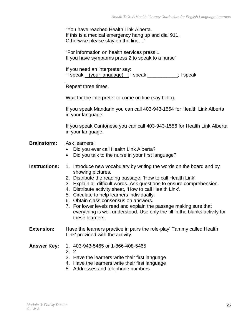"You have reached Health Link Alberta. If this is a medical emergency hang up and dial 911. Otherwise please stay on the line…"

"For information on health services press 1 If you have symptoms press 2 to speak to a nurse"

If you need an interpreter say: "I speak \_ (your language) \_; I speak \_\_\_\_\_\_\_\_\_\_\_; I speak

\_\_\_\_\_\_\_\_\_\_\_\_" Repeat three times.

Wait for the interpreter to come on line (say hello).

If you speak Mandarin you can call 403-943-1554 for Health Link Alberta in your language.

If you speak Cantonese you can call 403-943-1556 for Health Link Alberta in your language.

#### **Brainstorm:** Ask learners:

- Did you ever call Health Link Alberta?
- Did you talk to the nurse in your first language?

#### **Instructions:** 1. Introduce new vocabulary by writing the words on the board and by showing pictures.

- 2. Distribute the reading passage, 'How to call Health Link'.
- 3. Explain all difficult words. Ask questions to ensure comprehension.
- 4. Distribute activity sheet, 'How to call Health Link'.
- 5. Circulate to help learners individually.
- 6. Obtain class consensus on answers.
- 7. For lower levels read and explain the passage making sure that everything is well understood. Use only the fill in the blanks activity for these learners.
- **Extension:** Have the learners practice in pairs the role-play' Tammy called Health Link' provided with the activity.
- **Answer Key:** 1. 403-943-5465 or 1-866-408-5465
	- 2. 2
	- 3. Have the learners write their first language
	- 4. Have the learners write their first language
	- 5. Addresses and telephone numbers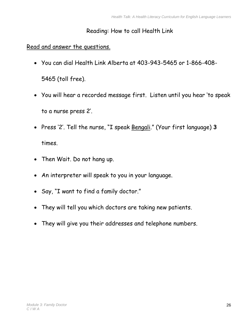# Reading: How to call Health Link

Read and answer the questions.

- You can dial Health Link Alberta at 403-943-5465 or 1-866-408- 5465 (toll free).
- You will hear a recorded message first. Listen until you hear 'to speak to a nurse press 2'.
- Press '2'. Tell the nurse, "I speak Bengali." (Your first language) **3** times.
- Then Wait. Do not hang up.
- An interpreter will speak to you in your language.
- Say, "I want to find a family doctor."
- They will tell you which doctors are taking new patients.
- They will give you their addresses and telephone numbers.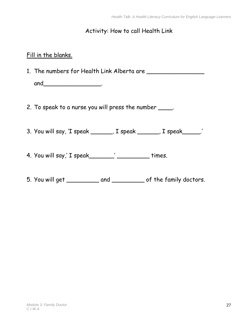### Activity: How to call Health Link

### Fill in the blanks.

1. The numbers for Health Link Alberta are \_\_\_\_\_\_\_\_\_\_\_\_\_\_\_\_

and\_\_\_\_\_\_\_\_\_\_\_\_\_\_\_\_.

2. To speak to a nurse you will press the number \_\_\_\_.

3. You will say, 'I speak \_\_\_\_\_\_, I speak \_\_\_\_\_\_, I speak\_\_\_\_\_.'

- 4. You will say,' I speak\_\_\_\_\_\_\_' \_\_\_\_\_\_\_\_\_ times.
- 5. You will get \_\_\_\_\_\_\_\_\_ and \_\_\_\_\_\_\_\_\_ of the family doctors.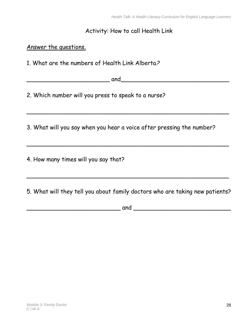### Activity: How to call Health Link

### Answer the questions.

1. What are the numbers of Health Link Alberta?

| and<br>w |  |
|----------|--|
|          |  |

2. Which number will you press to speak to a nurse?

3. What will you say when you hear a voice after pressing the number?

\_\_\_\_\_\_\_\_\_\_\_\_\_\_\_\_\_\_\_\_\_\_\_\_\_\_\_\_\_\_\_\_\_\_\_\_\_\_\_\_\_\_\_\_\_\_\_\_\_\_\_\_\_\_\_\_

\_\_\_\_\_\_\_\_\_\_\_\_\_\_\_\_\_\_\_\_\_\_\_\_\_\_\_\_\_\_\_\_\_\_\_\_\_\_\_\_\_\_\_\_\_\_\_\_\_\_\_\_\_\_\_\_

4. How many times will you say that?

5. What will they tell you about family doctors who are taking new patients?

\_\_\_\_\_\_\_\_\_\_\_\_\_\_\_\_\_\_\_\_\_\_\_\_\_\_\_\_\_\_\_\_\_\_\_\_\_\_\_\_\_\_\_\_\_\_\_\_\_\_\_\_\_\_\_\_

 $and$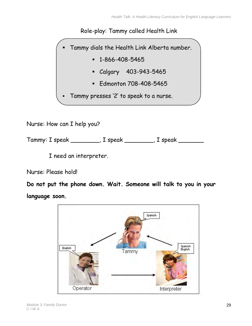# Role-play: Tammy called Health Link

- Tammy dials the Health Link Alberta number.
	- 1-866-408-5465
	- Calgary 403-943-5465
	- Edmonton 708-408-5465
	- Tammy presses '2' to speak to a nurse.

Nurse: How can I help you?

Tammy: I speak \_\_\_\_\_\_\_\_, I speak \_\_\_\_\_\_\_, I speak \_\_\_\_\_\_\_

I need an interpreter.

Nurse: Please hold!

**Do not put the phone down. Wait. Someone will talk to you in your language soon.**

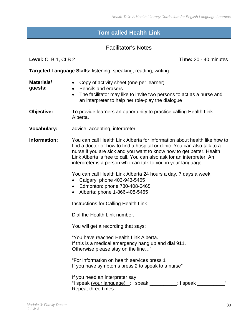### <span id="page-31-0"></span>**Tom called Health Link**

### Facilitator's Notes

**Level:** CLB 1, CLB 2 **Time:** 30 - 40 minutes

**Targeted Language Skills:** listening, speaking, reading, writing

**Materials/ guests:** • Copy of activity sheet (one per learner) • Pencils and erasers • The facilitator may like to invite two persons to act as a nurse and an interpreter to help her role-play the dialogue **Objective:** To provide learners an opportunity to practice calling Health Link Alberta. **Vocabulary:** advice, accepting, interpreter **Information:** You can call Health Link Alberta for information about health like how to find a doctor or how to find a hospital or clinic. You can also talk to a nurse if you are sick and you want to know how to get better. Health Link Alberta is free to call. You can also ask for an interpreter. An interpreter is a person who can talk to you in your language. You can call Health Link Alberta 24 hours a day, 7 days a week. • Calgary: phone 403-943-5465 • Edmonton: phone 780-408-5465 • Alberta: phone 1-866-408-5465 Instructions for Calling Health Link Dial the Health Link number. You will get a recording that says: "You have reached Health Link Alberta. If this is a medical emergency hang up and dial 911. Otherwise please stay on the line…" "For information on health services press 1 If you have symptoms press 2 to speak to a nurse" If you need an interpreter say:

"I speak (your language)  $\Box$ ; I speak  $\Box$  \_\_\_\_\_\_\_\_; I speak  $\Box$ Repeat three times.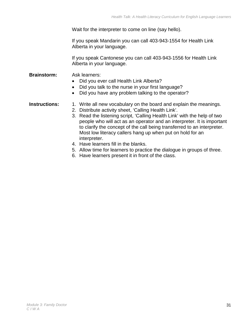Wait for the interpreter to come on line (say hello).

If you speak Mandarin you can call 403-943-1554 for Health Link Alberta in your language.

If you speak Cantonese you can call 403-943-1556 for Health Link Alberta in your language.

#### **Brainstorm:** Ask learners:

- Did you ever call Health Link Alberta?
- Did you talk to the nurse in your first language?
- Did you have any problem talking to the operator?

#### **Instructions:** 1. Write all new vocabulary on the board and explain the meanings.

- 2. Distribute activity sheet, 'Calling Health Link'.
- 3. Read the listening script, 'Calling Health Link' with the help of two people who will act as an operator and an interpreter. It is important to clarify the concept of the call being transferred to an interpreter. Most low literacy callers hang up when put on hold for an interpreter.
- 4. Have learners fill in the blanks.
- 5. Allow time for learners to practice the dialogue in groups of three.
- 6. Have learners present it in front of the class.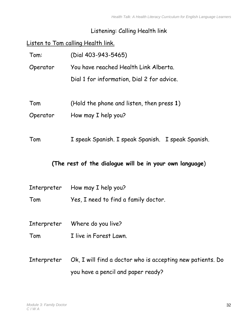# Listening: Calling Health link

| Tom:        | (Dial 403-943-5465)                                        |
|-------------|------------------------------------------------------------|
| Operator    | You have reached Health Link Alberta.                      |
|             | Dial 1 for information, Dial 2 for advice.                 |
| Tom         | (Hold the phone and listen, then press 1)                  |
| Operator    | How may I help you?                                        |
| Tom         | I speak Spanish. I speak Spanish. I speak Spanish.         |
|             | (The rest of the dialogue will be in your own language)    |
|             |                                                            |
|             | Interpreter How may I help you?                            |
| Tom         | Yes, I need to find a family doctor.                       |
|             |                                                            |
|             | Interpreter Where do you live?                             |
| Tom         | I live in Forest Lawn.                                     |
| Interpreter | Ok, I will find a doctor who is accepting new patients. Do |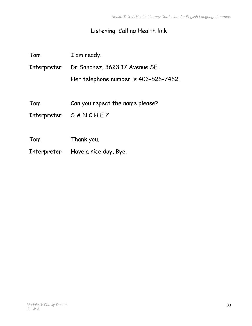# Listening: Calling Health link

| Tom         | I am ready.                           |
|-------------|---------------------------------------|
| Interpreter | Dr Sanchez, 3623 17 Avenue SE.        |
|             | Her telephone number is 403-526-7462. |
| Tom         | Can you repeat the name please?       |
|             | Interpreter SANCHEZ                   |
| Tom         | Thank you.                            |
| Interpreter | Have a nice day, Bye.                 |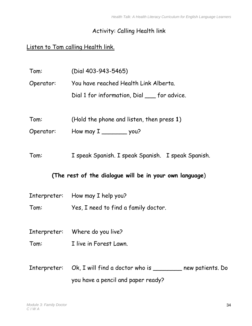# Activity: Calling Health link

# Listen to Tom calling Health link.

| Tom: | (Dial 403-943-5465)                                                       |  |  |  |
|------|---------------------------------------------------------------------------|--|--|--|
|      | Operator: You have reached Health Link Alberta.                           |  |  |  |
|      | Dial 1 for information, Dial __ for advice.                               |  |  |  |
| Tom: | (Hold the phone and listen, then press 1)                                 |  |  |  |
|      | Operator: How may I ___________ you?                                      |  |  |  |
| Tom: | I speak Spanish. I speak Spanish. I speak Spanish.                        |  |  |  |
|      | (The rest of the dialogue will be in your own language)                   |  |  |  |
|      | Interpreter: How may I help you?                                          |  |  |  |
| Tom: | Yes, I need to find a family doctor.                                      |  |  |  |
|      | Interpreter: Where do you live?                                           |  |  |  |
| Tom: | I live in Forest Lawn.                                                    |  |  |  |
|      | Interpreter: Ok, I will find a doctor who is ___________ new patients. Do |  |  |  |
|      | you have a pencil and paper ready?                                        |  |  |  |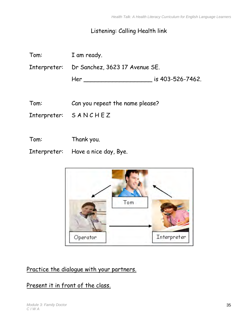# Listening: Calling Health link

| Tom: | I am ready.                                 |                  |  |
|------|---------------------------------------------|------------------|--|
|      | Interpreter: Dr Sanchez, 3623 17 Avenue SE. |                  |  |
|      |                                             | is 403-526-7462. |  |
|      |                                             |                  |  |
| Tom: | Can you repeat the name please?             |                  |  |
|      | Interpreter: SANCHEZ                        |                  |  |
|      |                                             |                  |  |
| Tom: | Thank you.                                  |                  |  |
|      | Interpreter: Have a nice day, Bye.          |                  |  |
|      |                                             |                  |  |



# Practice the dialogue with your partners.

# Present it in front of the class.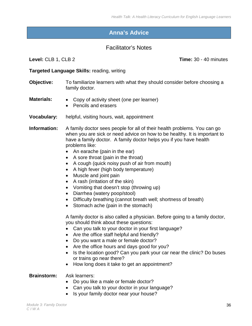### <span id="page-37-0"></span>**Anna's Advice**

### Facilitator's Notes

**Level:** CLB 1, CLB 2 **Time:** 30 - 40 minutes

#### **Targeted Language Skills:** reading, writing

- **Objective:** To familiarize learners with what they should consider before choosing a family doctor.
- **Materials:** Copy of activity sheet (one per learner)
	- Pencils and erasers
- **Vocabulary:** helpful, visiting hours, wait, appointment

**Information:** A family doctor sees people for all of their health problems. You can go when you are sick or need advice on how to be healthy. It is important to have a family doctor. A family doctor helps you if you have health problems like:

- An earache (pain in the ear)
- A sore throat (pain in the throat)
- A cough (quick noisy push of air from mouth)
- A high fever (high body temperature)
- Muscle and joint pain
- A rash (irritation of the skin)
- Vomiting that doesn't stop (throwing up)
- Diarrhea (watery poop/stool)
- Difficulty breathing (cannot breath well; shortness of breath)
- Stomach ache (pain in the stomach)

A family doctor is also called a physician. Before going to a family doctor, you should think about these questions:

- Can you talk to your doctor in your first language?
- Are the office staff helpful and friendly?
- Do you want a male or female doctor?
- Are the office hours and days good for you?
- Is the location good? Can you park your car near the clinic? Do buses or trains go near there?
- How long does it take to get an appointment?

#### **Brainstorm:** Ask learners:

- Do you like a male or female doctor?
- Can you talk to your doctor in your language?
- Is your family doctor near your house?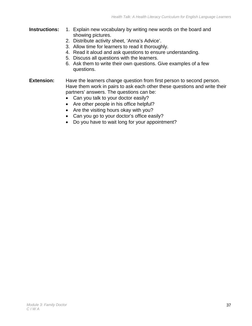#### **Instructions:** 1. Explain new vocabulary by writing new words on the board and showing pictures.

- 2. Distribute activity sheet, 'Anna's Advice'.
- 3. Allow time for learners to read it thoroughly.
- 4. Read it aloud and ask questions to ensure understanding.
- 5. Discuss all questions with the learners.
- 6. Ask them to write their own questions. Give examples of a few questions.
- **Extension:** Have the learners change question from first person to second person. Have them work in pairs to ask each other these questions and write their partners' answers. The questions can be:
	- Can you talk to your doctor easily?
	- Are other people in his office helpful?
	- Are the visiting hours okay with you?
	- Can you go to your doctor's office easily?
	- Do you have to wait long for your appointment?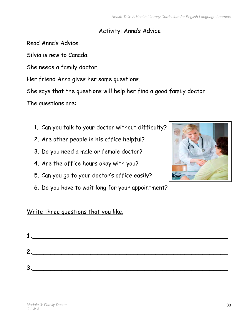### Activity: Anna's Advice

Read Anna's Advice.

Silvia is new to Canada.

She needs a family doctor.

Her friend Anna gives her some questions.

She says that the questions will help her find a good family doctor.

The questions are:

- 1. Can you talk to your doctor without difficulty?
- 2. Are other people in his office helpful?
- 3. Do you need a male or female doctor?
- 4. Are the office hours okay with you?
- 5. Can you go to your doctor's office easily?
- 6. Do you have to wait long for your appointment?



# Write three questions that you like.

|          | $\overline{\mathbf{2}}$ and $\overline{\mathbf{2}}$ and $\overline{\mathbf{2}}$ and $\overline{\mathbf{2}}$ and $\overline{\mathbf{2}}$ and $\overline{\mathbf{2}}$ and $\overline{\mathbf{2}}$ and $\overline{\mathbf{2}}$ and $\overline{\mathbf{2}}$ and $\overline{\mathbf{2}}$ and $\overline{\mathbf{2}}$ and $\overline{\mathbf{2}}$ and $\overline{\mathbf{2}}$ and $\overline{\mathbf{2}}$ a |  |  |
|----------|-------------------------------------------------------------------------------------------------------------------------------------------------------------------------------------------------------------------------------------------------------------------------------------------------------------------------------------------------------------------------------------------------------|--|--|
| 2<br>- 2 |                                                                                                                                                                                                                                                                                                                                                                                                       |  |  |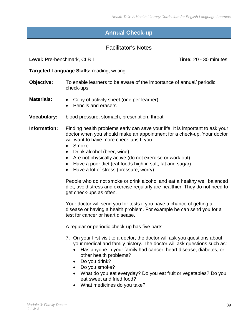### <span id="page-40-0"></span>**Annual Check-up**

### Facilitator's Notes

**Level:** Pre-benchmark, CLB 1 **Time:** 20 - 30 minutes

#### **Targeted Language Skills:** reading, writing

- **Objective:** To enable learners to be aware of the importance of annual/ periodic check-ups.
- **Materials:** Copy of activity sheet (one per learner)
	- Pencils and erasers
- **Vocabulary:** blood pressure, stomach, prescription, throat

**Information:** Finding health problems early can save your life. It is important to ask your doctor when you should make an appointment for a check-up. Your doctor will want to have more check-ups If you:

- Smoke
- Drink alcohol (beer, wine)
- Are not physically active (do not exercise or work out)
- Have a poor diet (eat foods high in salt, fat and sugar)
- Have a lot of stress (pressure, worry)

People who do not smoke or drink alcohol and eat a healthy well balanced diet, avoid stress and exercise regularly are healthier. They do not need to get check-ups as often.

Your doctor will send you for tests if you have a chance of getting a disease or having a health problem. For example he can send you for a test for cancer or heart disease.

A regular or periodic check-up has five parts:

- 7. On your first visit to a doctor, the doctor will ask you questions about your medical and family history. The doctor will ask questions such as:
	- Has anyone in your family had cancer, heart disease, diabetes, or other health problems?
	- Do you drink?
	- Do you smoke?
	- What do you eat everyday? Do you eat fruit or vegetables? Do you eat sweet and fried food?
	- What medicines do you take?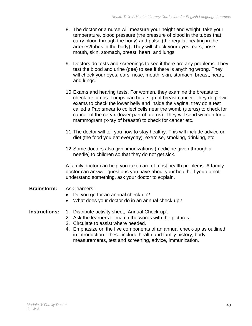- 8. The doctor or a nurse will measure your height and weight; take your temperature, blood pressure (the pressure of blood in the tubes that carry blood through the body) and pulse (the regular beating in the arteries/tubes in the body). They will check your eyes, ears, nose, mouth, skin, stomach, breast, heart, and lungs.
- 9. Doctors do tests and screenings to see if there are any problems. They test the blood and urine (pee) to see if there is anything wrong. They will check your eyes, ears, nose, mouth, skin, stomach, breast, heart, and lungs.
- 10. Exams and hearing tests. For women, they examine the breasts to check for lumps. Lumps can be a sign of breast cancer. They do pelvic exams to check the lower belly and inside the vagina, they do a test called a Pap smear to collect cells near the womb (uterus) to check for cancer of the cervix (lower part of uterus). They will send women for a mammogram (x-ray of breasts) to check for cancer etc.
- 11. The doctor will tell you how to stay healthy. This will include advice on diet (the food you eat everyday), exercise, smoking, drinking, etc.
- 12. Some doctors also give imunizations (medicine given through a needle) to children so that they do not get sick.

A family doctor can help you take care of most health problems. A family doctor can answer questions you have about your health. If you do not understand something, ask your doctor to explain.

#### **Brainstorm:** Ask learners:

- Do you go for an annual check-up?
- What does your doctor do in an annual check-up?

#### **Instructions:** 1. Distribute activity sheet, 'Annual Check-up'.

- 2. Ask the learners to match the words with the pictures.
- 3. Circulate to assist where needed.
- 4. Emphasize on the five components of an annual check-up as outlined in introduction. These include health and family history, body measurements, test and screening, advice, immunization.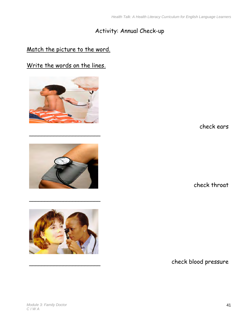# Activity: Annual Check-up

### Match the picture to the word.

# Write the words on the lines.



check ears



 $\overline{\phantom{a}}$  , which is a set of the set of the set of the set of the set of the set of the set of the set of the set of the set of the set of the set of the set of the set of the set of the set of the set of the set of th

\_\_\_\_\_\_\_\_\_\_\_\_\_\_\_\_\_\_\_\_\_\_\_

check throat



\_\_\_\_\_\_\_\_\_\_\_\_\_\_\_\_\_\_\_\_\_\_\_ check blood pressure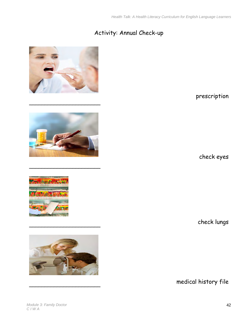# Activity: Annual Check-up



\_\_\_\_\_\_\_\_\_\_\_\_\_\_\_\_\_\_\_\_\_\_\_ medical history file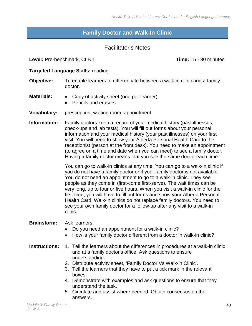### <span id="page-44-0"></span>**Family Doctor and Walk-In Clinic**

### Facilitator's Notes

**Level:** Pre-benchmark, CLB 1 **Time:** 15 - 30 minutes

#### **Targeted Language Skills:** reading

- **Objective:** To enable learners to differentiate between a walk-in clinic and a family doctor.
- **Materials:**  Copy of activity sheet (one per learner)
	- Pencils and erasers
- **Vocabulary:** prescription, waiting room, appointment
- **Information:** Family doctors keep a record of your medical history (past illnesses, check-ups and lab tests). You will fill out forms about your personal information and your medical history (your past illnesses) on your first visit. You will need to show your Alberta Personal Health Card to the receptionist (person at the front desk). You need to make an appointment (to agree on a time and date when you can meet) to see a family doctor. Having a family doctor means that you see the same doctor each time.

You can go to walk-in clinics at any time. You can go to a walk-in clinic if you do not have a family doctor or if your family doctor is not available. You do not need an appointment to go to a walk-in clinic. They see people as they come in (first-come first-serve). The wait times can be very long, up to four or five hours. When you visit a walk-in clinic for the first time, you will have to fill out forms and show your Alberta Personal Health Card. Walk-in clinics do not replace family doctors. You need to see your own family doctor for a follow-up after any visit to a walk-in clinic.

#### **Brainstorm:** Ask learners:

- Do you need an appointment for a walk-in clinic?
- How is your family doctor different from a doctor in walk-in clinic?

#### **Instructions:** 1. Tell the learners about the differences in procedures at a walk-in clinic and at a family doctor's office. Ask questions to ensure understanding.

- 2. Distribute activity sheet, 'Family Doctor Vs Walk-in Clinic'.
- 3. Tell the learners that they have to put a tick mark in the relevant boxes.
- 4. Demonstrate with examples and ask questions to ensure that they understand the task.
- 5. Circulate and assist where needed. Obtain consensus on the answers.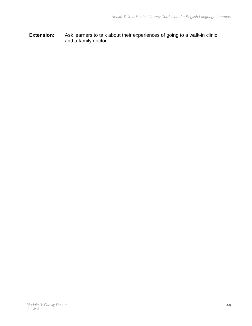**Extension:** Ask learners to talk about their experiences of going to a walk-in clinic and a family doctor.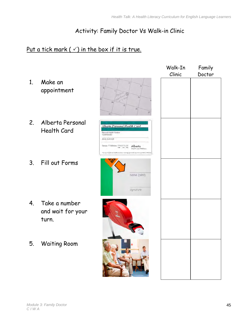# Activity: Family Doctor Vs Walk-in Clinic

# Put a tick mark ( $\checkmark$ ) in the box if it is true.

- 1. Make an appointment
- 2. Alberta Personal Health Card
- 3. Fill out Forms
- 4. Take a number and wait for your turn.
- 5. Waiting Room



| Personal Health Flamber<br>12345-0000          |                              |
|------------------------------------------------|------------------------------|
| IANE USA DOE                                   |                              |
| Gender F Birthdale 1960/11/16<br>Vege //w Days | Alberta<br>Health and Welmin |



| THE<br><b>ANS</b> |    |  |
|-------------------|----|--|
|                   | b, |  |
|                   |    |  |
|                   |    |  |
|                   |    |  |

| Walk-In<br>Clinic | Family<br>Doctor |
|-------------------|------------------|
|                   |                  |
|                   |                  |
|                   |                  |
|                   |                  |
|                   |                  |
|                   |                  |
|                   |                  |
|                   |                  |
|                   |                  |
|                   |                  |
|                   |                  |
|                   |                  |
|                   |                  |
|                   |                  |
|                   |                  |
|                   |                  |
|                   |                  |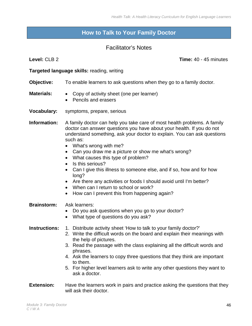### <span id="page-47-0"></span>**How to Talk to Your Family Doctor**

### Facilitator's Notes

**Level:** CLB 2 **Time:** 40 - 45 minutes

#### **Targeted language skills:** reading, writing

- **Objective:** To enable learners to ask questions when they go to a family doctor.
- **Materials:**  Copy of activity sheet (one per learner)
	- Pencils and erasers
- **Vocabulary:** symptoms, prepare, serious
- **Information:** A family doctor can help you take care of most health problems. A family doctor can answer questions you have about your health. If you do not understand something, ask your doctor to explain. You can ask questions such as:
	- What's wrong with me?
	- Can you draw me a picture or show me what's wrong?
	- What causes this type of problem?
	- Is this serious?
	- Can I give this illness to someone else, and if so, how and for how long?
	- Are there any activities or foods I should avoid until I'm better?
	- When can I return to school or work?
	- How can I prevent this from happening again?

**Brainstorm:** Ask learners:

- Do you ask questions when you go to your doctor?
- What type of questions do you ask?

#### **Instructions:** 1. Distribute activity sheet 'How to talk to your family doctor?'

- 2. Write the difficult words on the board and explain their meanings with the help of pictures.
- 3. Read the passage with the class explaining all the difficult words and phrases.
- 4. Ask the learners to copy three questions that they think are important to them.
- 5. For higher level learners ask to write any other questions they want to ask a doctor.
- **Extension:** Have the learners work in pairs and practice asking the questions that they will ask their doctor.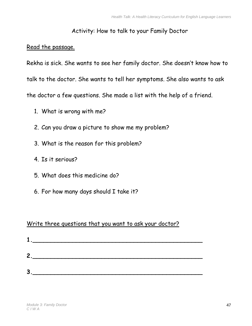### Activity: How to talk to your Family Doctor

### Read the passage.

Rekha is sick. She wants to see her family doctor. She doesn't know how to talk to the doctor. She wants to tell her symptoms. She also wants to ask the doctor a few questions. She made a list with the help of a friend.

- 1. What is wrong with me?
- 2. Can you draw a picture to show me my problem?
- 3. What is the reason for this problem?
- 4. Is it serious?
- 5. What does this medicine do?
- 6. For how many days should I take it?

### Write three questions that you want to ask your doctor?

| $2_{-}$ |  |  |
|---------|--|--|
| 3       |  |  |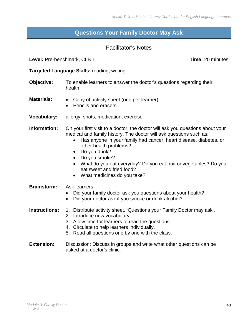### <span id="page-49-0"></span>**Questions Your Family Doctor May Ask**

### Facilitator's Notes

**Level:** Pre-benchmark, CLB 1 **Time:** 20 minutes

#### **Targeted Language Skills:** reading, writing

- **Objective:** To enable learners to answer the doctor's questions regarding their health.
- **Materials:** Copy of activity sheet (one per learner)
	- Pencils and erasers
- **Vocabulary:** allergy, shots, medication, exercise

**Information:** On your first visit to a doctor, the doctor will ask you questions about your medical and family history. The doctor will ask questions such as:

- Has anyone in your family had cancer, heart disease, diabetes, or other health problems?
- Do you drink?
- Do you smoke?
- What do you eat everyday? Do you eat fruit or vegetables? Do you eat sweet and fried food?
- What medicines do you take?
- **Brainstorm:** Ask learners:
	- Did your family doctor ask you questions about your health?
	- Did your doctor ask if you smoke or drink alcohol?
- **Instructions:** 1. Distribute activity sheet, 'Questions your Family Doctor may ask'.
	- 2. Introduce new vocabulary.
	- 3. Allow time for learners to read the questions.
	- 4. Circulate to help learners individually.
	- 5. Read all questions one by one with the class.
- **Extension:** Discussion: Discuss in groups and write what other questions can be asked at a doctor's clinic.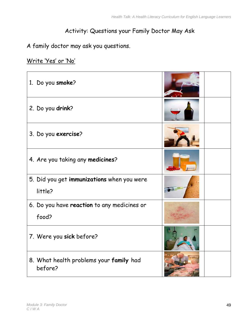# Activity: Questions your Family Doctor May Ask

A family doctor may ask you questions.

# Write 'Yes' or 'No'

| 1. Do you smoke?                                      |                     |
|-------------------------------------------------------|---------------------|
| 2. Do you drink?                                      |                     |
| 3. Do you exercise?                                   |                     |
| 4. Are you taking any medicines?                      |                     |
| 5. Did you get immunizations when you were<br>little? | <b>HILL ALL AND</b> |
| 6. Do you have reaction to any medicines or<br>food?  |                     |
| 7. Were you sick before?                              |                     |
| 8. What health problems your family had<br>before?    |                     |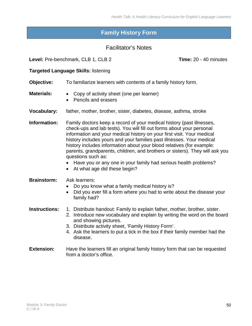### <span id="page-51-0"></span>**Family History Form**

### Facilitator's Notes

#### **Level:** Pre-benchmark, CLB 1, CLB 2 **Time:** 20 - 40 minutes

#### **Targeted Language Skills:** listening

- **Objective:** To familiarize learners with contents of a family history form.
- **Materials:**  Copy of activity sheet (one per learner)
	- Pencils and erasers
- **Vocabulary:** father, mother, brother, sister, diabetes, disease, asthma, stroke

**Information:** Family doctors keep a record of your medical history (past illnesses, check-ups and lab tests). You will fill out forms about your personal information and your medical history on your first visit. Your medical history includes yours and your families past illnesses. Your medical history includes information about your blood relatives (for example: parents, grandparents, children, and brothers or sisters). They will ask you questions such as:

- Have you or any one in your family had serious health problems?
- At what age did these begin?

#### **Brainstorm:** Ask learners:

- Do you know what a family medical history is?
- Did you ever fill a form where you had to write about the disease your family had?

#### **Instructions:** 1. Distribute handout: Family to explain father, mother, brother, sister.

- 2. Introduce new vocabulary and explain by writing the word on the board and showing pictures.
	- 3. Distribute activity sheet, 'Family History Form'.
	- 4. Ask the learners to put a tick in the box if their family member had the disease.
- **Extension:** Have the learners fill an original family history form that can be requested from a doctor's office.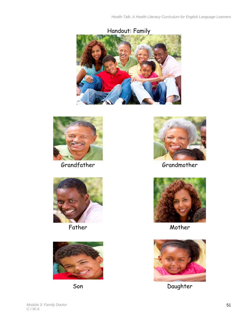



Grandfather Grandmother









Father Mother Mother



Son Daughter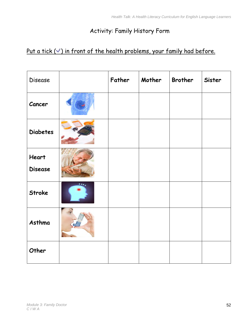# Activity: Family History Form

# Put a tick  $(\check{\phantom{a}})$  in front of the health problems, your family had before.

| Disease                        |         | Father | Mother | <b>Brother</b> | Sister |
|--------------------------------|---------|--------|--------|----------------|--------|
| Cancer                         |         |        |        |                |        |
| <b>Diabetes</b>                |         |        |        |                |        |
| <b>Heart</b><br><b>Disease</b> |         |        |        |                |        |
| <b>Stroke</b>                  | $+ + +$ |        |        |                |        |
| Asthma                         |         |        |        |                |        |
| Other                          |         |        |        |                |        |